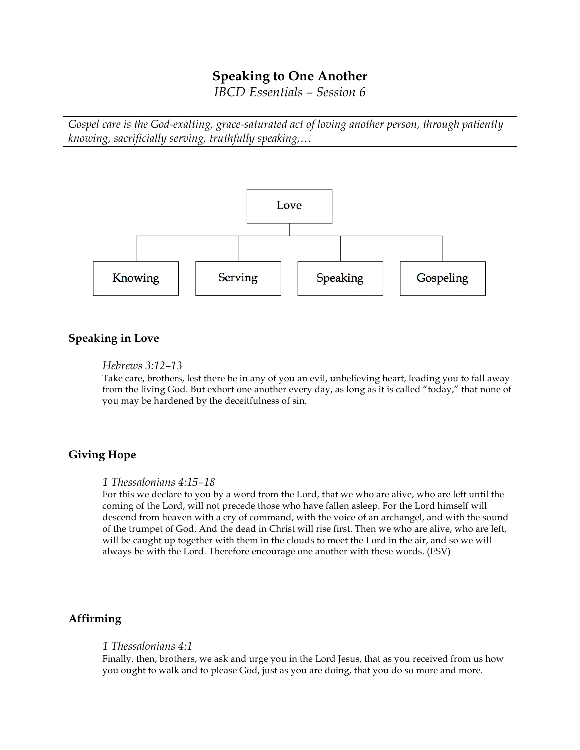# **Speaking to One Another**

*IBCD Essentials – Session 6*

*Gospel care is the God-exalting, grace-saturated act of loving another person, through patiently knowing, sacrificially serving, truthfully speaking,…*



## **Speaking in Love**

## *Hebrews 3:12–13*

Take care, brothers, lest there be in any of you an evil, unbelieving heart, leading you to fall away from the living God. But exhort one another every day, as long as it is called "today," that none of you may be hardened by the deceitfulness of sin.

## **Giving Hope**

#### *1 Thessalonians 4:15–18*

For this we declare to you by a word from the Lord, that we who are alive, who are left until the coming of the Lord, will not precede those who have fallen asleep. For the Lord himself will descend from heaven with a cry of command, with the voice of an archangel, and with the sound of the trumpet of God. And the dead in Christ will rise first. Then we who are alive, who are left, will be caught up together with them in the clouds to meet the Lord in the air, and so we will always be with the Lord. Therefore encourage one another with these words. (ESV)

## **Affirming**

#### *1 Thessalonians 4:1*

Finally, then, brothers, we ask and urge you in the Lord Jesus, that as you received from us how you ought to walk and to please God, just as you are doing, that you do so more and more.